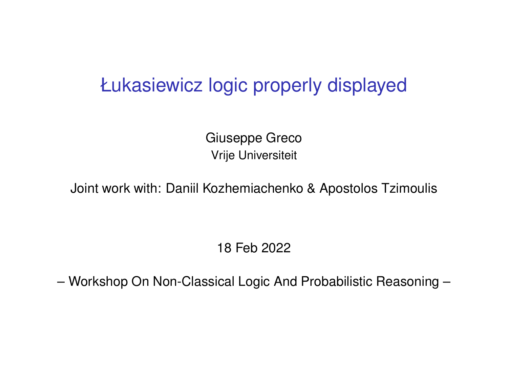#### Łukasiewicz logic properly displayed

Giuseppe Greco Vrije Universiteit

Joint work with: Daniil Kozhemiachenko & Apostolos Tzimoulis

18 Feb 2022

– Workshop On Non-Classical Logic And Probabilistic Reasoning –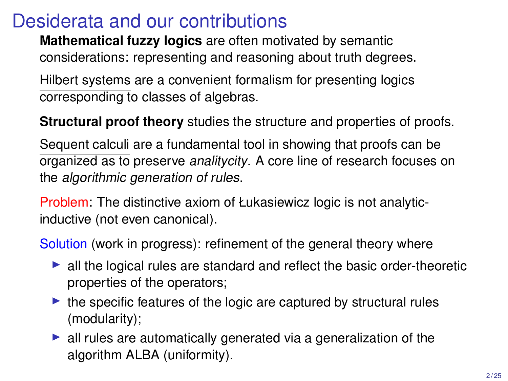#### Desiderata and our contributions

**Mathematical fuzzy logics** are often motivated by semantic considerations: representing and reasoning about truth degrees.

Hilbert systems are a convenient formalism for presenting logics corresponding to classes of algebras.

**Structural proof theory** studies the structure and properties of proofs.

Sequent calculi are a fundamental tool in showing that proofs can be organized as to preserve analitycity. A core line of research focuses on the algorithmic generation of rules.

Problem: The distinctive axiom of Łukasiewicz logic is not analyticinductive (not even canonical).

Solution (work in progress): refinement of the general theory where

- $\blacktriangleright$  all the logical rules are standard and reflect the basic order-theoretic properties of the operators;
- $\triangleright$  the specific features of the logic are captured by structural rules (modularity);
- $\blacktriangleright$  all rules are automatically generated via a generalization of the algorithm ALBA (uniformity).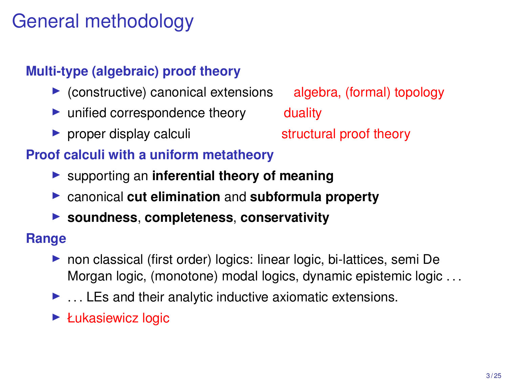## General methodology

#### **Multi-type (algebraic) proof theory**

- $\triangleright$  (constructive) canonical extensions algebra, (formal) topology
- $\triangleright$  unified correspondence theory duality
- In proper display calculi structural proof theory

#### **Proof calculi with a uniform metatheory**

- ▶ supporting an **inferential theory of meaning**
- **Exercise 2 canonical cut elimination** and **subformula property**
- ▶ soundness, completeness, conservativity

#### **Range**

- $\triangleright$  non classical (first order) logics: linear logic, bi-lattices, semi De Morgan logic, (monotone) modal logics, dynamic epistemic logic . . .
- $\blacktriangleright$  ... LEs and their analytic inductive axiomatic extensions.
- $\blacktriangleright$  Łukasiewicz logic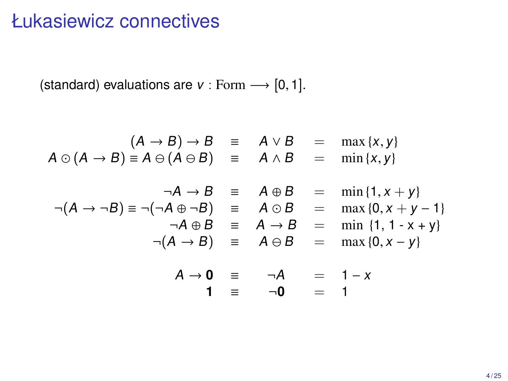#### Łukasiewicz connectives

(standard) evaluations are  $v :$  Form  $\longrightarrow$  [0, 1].

$$
(A \rightarrow B) \rightarrow B \equiv A \lor B = \max\{x, y\}
$$
  
\n
$$
A \odot (A \rightarrow B) \equiv A \ominus (A \ominus B) \equiv A \land B = \min\{x, y\}
$$
  
\n
$$
\neg A \rightarrow B \equiv A \oplus B = \min\{1, x + y\}
$$
  
\n
$$
\neg (A \rightarrow \neg B) \equiv \neg (\neg A \oplus \neg B) \equiv A \odot B = \max\{0, x + y - 1\}
$$
  
\n
$$
\neg (A \rightarrow B) \equiv A \ominus B = \min\{1, 1 - x + y\}
$$
  
\n
$$
\neg (A \rightarrow B) \equiv A \ominus B = \max\{0, x - y\}
$$
  
\n
$$
A \rightarrow 0 \equiv \neg A = 1 - x
$$
  
\n
$$
1 \equiv \neg 0 = 1
$$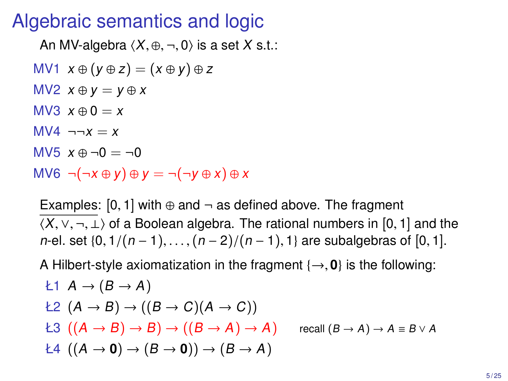## Algebraic semantics and logic

An MV-algebra  $\langle X, \oplus, \neg, 0 \rangle$  is a set X s.t.: MV1  $x \oplus (y \oplus z) = (x \oplus y) \oplus z$ MV2  $x \oplus y = y \oplus x$ MV3  $x \oplus 0 = x$  $MVA$   $\neg \neg x = x$  $M<sup>5</sup>$   $x \oplus \neg 0 = \neg 0$ MV6  $\neg(\neg x \oplus y) \oplus y = \neg(\neg y \oplus x) \oplus x$ 

Examples:  $[0, 1]$  with  $\oplus$  and  $\neg$  as defined above. The fragment  $\langle X, \vee, \neg, \perp \rangle$  of a Boolean algebra. The rational numbers in [0, 1] and the n-el. set  $\{0, 1/(n-1), \ldots, (n-2)/(n-1), 1\}$  are subalgebras of [0, 1].

A Hilbert-style axiomatization in the fragment  $\{\rightarrow, 0\}$  is the following:

$$
k1 \quad A \rightarrow (B \rightarrow A)
$$
  
\n
$$
k2 \quad (A \rightarrow B) \rightarrow ((B \rightarrow C)(A \rightarrow C))
$$
  
\n
$$
k3 \quad ((A \rightarrow B) \rightarrow B) \rightarrow ((B \rightarrow A) \rightarrow A) \quad \text{recall } (B \rightarrow A) \rightarrow A \equiv B \lor A
$$
  
\n
$$
k4 \quad ((A \rightarrow 0) \rightarrow (B \rightarrow 0)) \rightarrow (B \rightarrow A)
$$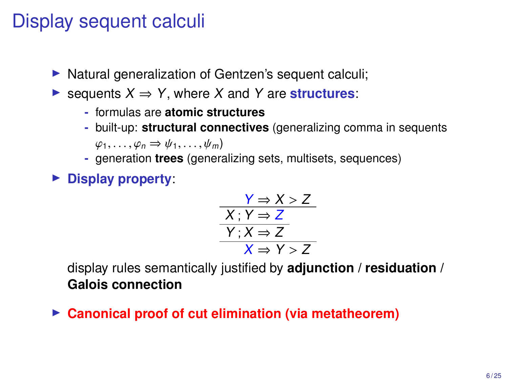## Display sequent calculi

- $\triangleright$  Natural generalization of Gentzen's sequent calculi;
- $\triangleright$  sequents  $X \Rightarrow Y$ , where X and Y are **structures**:
	- **-** formulas are **atomic structures**
	- **-** built-up: **structural connectives** (generalizing comma in sequents  $\varphi_1, \ldots, \varphi_n \Rightarrow \psi_1, \ldots, \psi_m$
	- **-** generation **trees** (generalizing sets, multisets, sequences)
- **Display property:**

$$
\frac{Y \Rightarrow X > Z}{X; Y \Rightarrow Z}
$$
\n
$$
\frac{Y; X \Rightarrow Z}{Y; X \Rightarrow Z}
$$
\n
$$
X \Rightarrow Y > Z
$$

 $X \Rightarrow Y > Z$ <br>display rules semantically justified by **adjunction** / **residuation** / **Galois connection**

► Canonical proof of cut elimination (via metatheorem)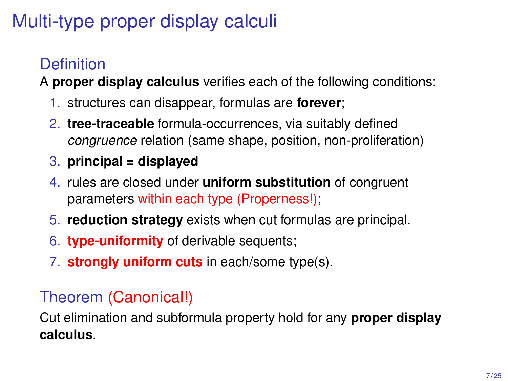# Multi-type proper display calculi

## **Definition**

A **proper display calculus** verifies each of the following conditions:

- 1. structures can disappear, formulas are **forever**;
- 2. **tree-traceable** formula-occurrences, via suitably defined congruence relation (same shape, position, non-proliferation)
- 3. **principal = displayed**
- 4. rules are closed under **uniform substitution** of congruent parameters within each type (Properness!);
- 5. **reduction strategy** exists when cut formulas are principal.
- 6. **type-uniformity** of derivable sequents;
- 7. **strongly uniform cuts** in each/some type(s).

#### Theorem (Canonical!)

Cut elimination and subformula property hold for any **proper display calculus**.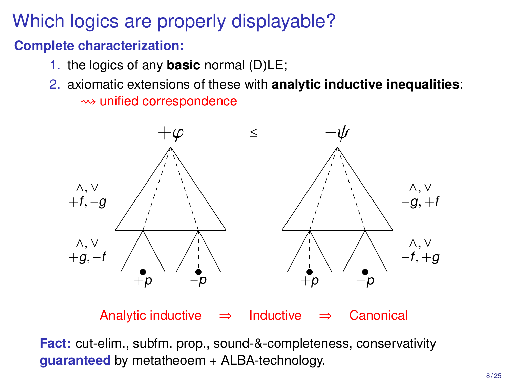## Which logics are properly displayable?

#### **Complete characterization:**

- 1. the logics of any **basic** normal (D)LE;
- 2. axiomatic extensions of these with **analytic inductive inequalities**:  $\rightsquigarrow$  unified correspondence



Analytic inductive  $\Rightarrow$  Inductive  $\Rightarrow$  Canonical

**Fact:** cut-elim., subfm. prop., sound-&-completeness, conservativity **guaranteed** by metatheoem + ALBA-technology.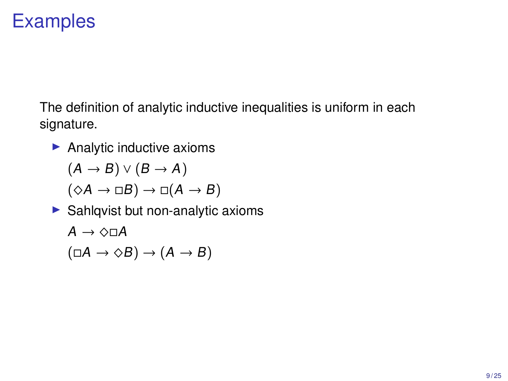## **Examples**

The definition of analytic inductive inequalities is uniform in each signature.

 $\blacktriangleright$  Analytic inductive axioms

 $(A \rightarrow B) \vee (B \rightarrow A)$ 

$$
(\Diamond A \to \Box B) \to \Box (A \to B)
$$

 $\blacktriangleright$  Sahlqvist but non-analytic axioms

$$
A \to \Diamond \Box A
$$

$$
(\Box A \to \Diamond B) \to (A \to B)
$$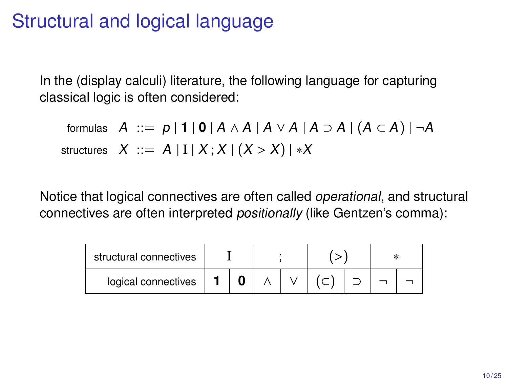#### Structural and logical language

In the (display calculi) literature, the following language for capturing classical logic is often considered:

formulas  $A ::= p | 1 | 0 | A \wedge A | A \vee A | A \supset A | (A \subset A) | \neg A$ structures  $X ::= A | I | X; X | (X > X) | *X$ 

Notice that logical connectives are often called operational, and structural connectives are often interpreted positionally (like Gentzen's comma):

| structural connectives |  |  |  |  |  |  |  |
|------------------------|--|--|--|--|--|--|--|
| logical connectives    |  |  |  |  |  |  |  |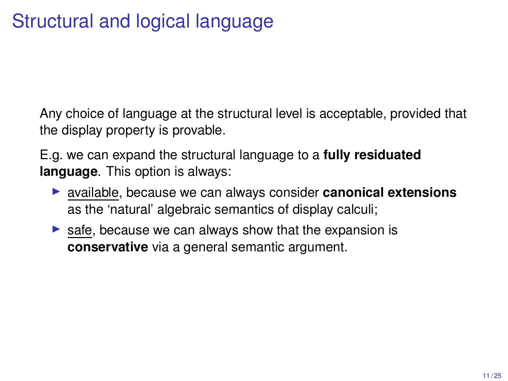Any choice of language at the structural level is acceptable, provided that the display property is provable.

E.g. we can expand the structural language to a **fully residuated language**. This option is always:

- **Example 1** available, because we can always consider **canonical extensions** as the 'natural' algebraic semantics of display calculi;
- $\triangleright$  safe, because we can always show that the expansion is **conservative** via a general semantic argument.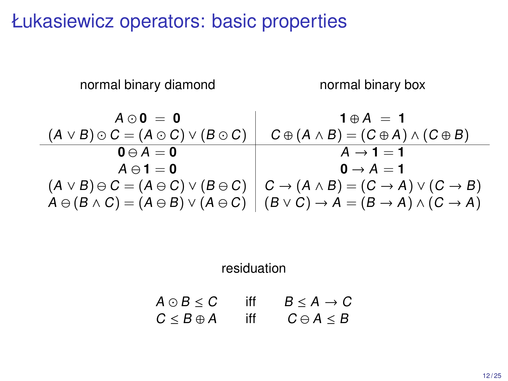Łukasiewicz operators: basic properties

normal binary diamond normal binary box

.

$$
A \odot 0 = 0
$$
  
\n
$$
(A \vee B) \odot C = (A \odot C) \vee (B \odot C)
$$
  
\n
$$
0 \ominus A = 0
$$
  
\n
$$
A \ominus 1 = 0
$$
  
\n
$$
(A \vee B) \ominus C = (A \ominus C) \vee (B \ominus C)
$$
  
\n
$$
0 \ominus A = 1
$$
  
\n
$$
(A \vee B) \ominus C = (A \ominus C) \vee (B \ominus C)
$$
  
\n
$$
A \ominus (B \wedge C) = (A \ominus B) \vee (A \ominus C)
$$
  
\n
$$
(B \vee C) \rightarrow A = (B \rightarrow A) \wedge (C \rightarrow A)
$$

residuation

$$
A \odot B \leq C \quad \text{iff} \quad B \leq A \rightarrow C
$$
  

$$
C \leq B \oplus A \quad \text{iff} \quad C \ominus A \leq B
$$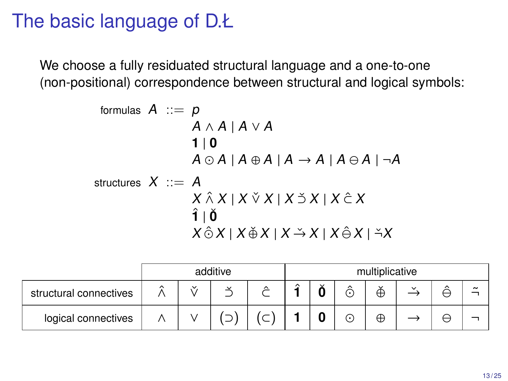## The basic language of D.Ł

We choose a fully residuated structural language and a one-to-one (non-positional) correspondence between structural and logical symbols:

formulas A ::= p

\n
$$
A \wedge A \mid A \vee A
$$
\n
$$
1 \mid 0
$$
\n
$$
A \odot A \mid A \oplus A \mid A \rightarrow A \mid A \ominus A \mid \neg A
$$
\nstructures X ::= A

\n
$$
X \hat{\wedge} X \mid X \check{\vee} X \mid X \check{\wedge} X \mid X \hat{\wedge} X
$$
\n
$$
\hat{\mathbf{i}} \mid \check{\mathbf{0}}
$$
\n
$$
X \hat{\wedge} X \mid X \check{\varphi} X \mid X \check{\rightarrow} X \mid X \hat{\varphi} X \mid \check{\neg} X
$$

|                        |        |              | additive | multiplicative      |        |         |                          |                   |              |   |                       |
|------------------------|--------|--------------|----------|---------------------|--------|---------|--------------------------|-------------------|--------------|---|-----------------------|
| structural connectives | $\sim$ | $\checkmark$ |          | $\hat{\phantom{a}}$ | $\sim$ | $\cdot$ | $\hat{\phantom{a}}$<br>Ĉ | $\checkmark$<br>⊕ | $\checkmark$ | ⌒ | $\tilde{\phantom{a}}$ |
| logical connectives    |        |              |          |                     |        |         | C                        | Æ                 |              | こ |                       |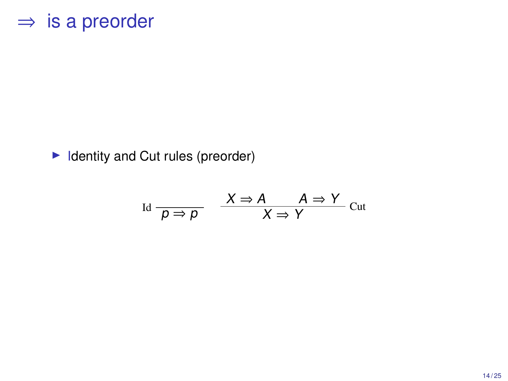#### $\Rightarrow$  is a preorder

 $\blacktriangleright$  Identity and Cut rules (preorder)

$$
\text{Id} \frac{}{p \Rightarrow p} \quad \frac{X \Rightarrow A \quad A \Rightarrow Y}{X \Rightarrow Y} \text{Cut}
$$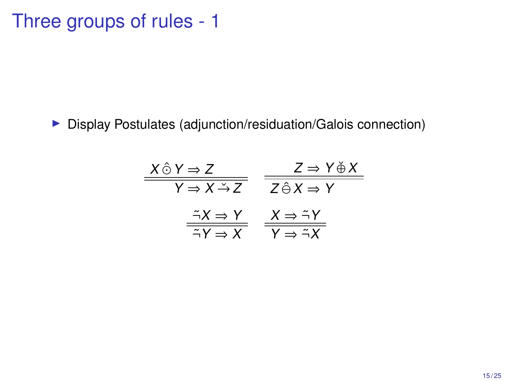## Three groups of rules - 1

**Display Postulates (adjunction/residuation/Galois connection)** 

| $X \hat{\odot} Y \Rightarrow Z$                                  | $Z \Rightarrow Y \& X$                                           |
|------------------------------------------------------------------|------------------------------------------------------------------|
| $Y \Rightarrow X \rightarrow Z$                                  | $Z \hat{\ominus} X \Rightarrow Y$                                |
| $\tilde{\neg} X \Rightarrow Y$<br>$\tilde{\neg} Y \Rightarrow X$ | $X \Rightarrow \tilde{\neg} Y$<br>$Y \Rightarrow \tilde{\neg} X$ |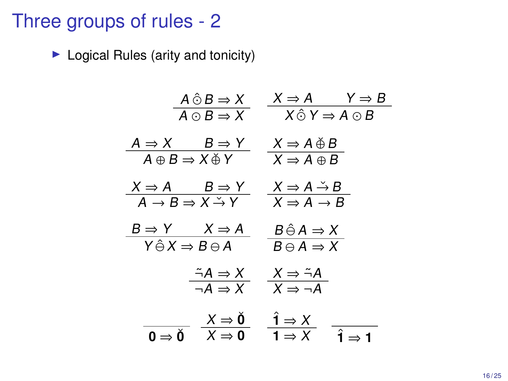#### Three groups of rules - 2

 $\blacktriangleright$  Logical Rules (arity and tonicity)

$$
\frac{A \hat{\odot} B \Rightarrow X}{A \odot B \Rightarrow X} \quad \frac{X \Rightarrow A \qquad Y \Rightarrow B}{X \hat{\odot} Y \Rightarrow A \odot B}
$$
\n
$$
\frac{A \Rightarrow X \qquad B \Rightarrow Y}{A \oplus B \Rightarrow X \oplus Y} \quad \frac{X \Rightarrow A \oplus B}{X \Rightarrow A \oplus B}
$$
\n
$$
\frac{X \Rightarrow A \qquad B \Rightarrow Y}{A \rightarrow B \Rightarrow X \stackrel{\sim}{\rightarrow} Y} \quad \frac{X \Rightarrow A \stackrel{\sim}{\rightarrow} B}{X \Rightarrow A \rightarrow B}
$$
\n
$$
\frac{B \Rightarrow Y \qquad X \Rightarrow A}{Y \hat{\ominus} X \Rightarrow B \oplus A} \quad \frac{B \hat{\ominus} A \Rightarrow X}{B \ominus A \Rightarrow X}
$$
\n
$$
\frac{\therefore A \Rightarrow X}{\neg A \Rightarrow X} \quad \frac{X \Rightarrow \stackrel{\sim}{\rightarrow} A}{X \Rightarrow \neg A}
$$
\n
$$
\frac{X \Rightarrow \check{0}}{\varphi \Rightarrow \check{0}} \quad \frac{\hat{1} \Rightarrow X}{X \Rightarrow 0} \quad \frac{\hat{1} \Rightarrow X}{1 \Rightarrow X} \quad \frac{\hat{1} \Rightarrow X}{\hat{1} \Rightarrow 1}
$$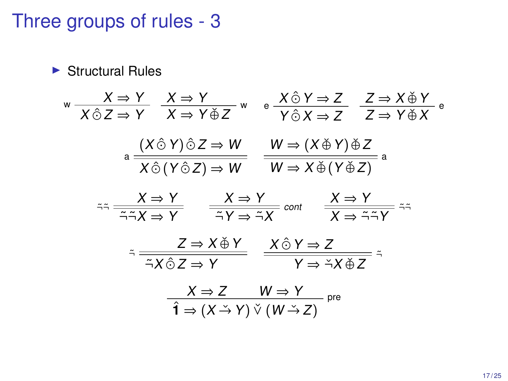#### Three groups of rules - 3

 $\blacktriangleright$  Structural Rules  $w \xrightarrow{X \Rightarrow Y}$  $X \hat{\odot} Z \Rightarrow Y$  $\frac{X \Rightarrow Y}{\frac{X}{X} + \frac{X}{Y}}$  w  $X \Rightarrow Y \check{\oplus} Z$ e  $\frac{X \hat{\odot} Y \Rightarrow Z}{Y \hat{\odot} X \Rightarrow Z}$  $\frac{Z \rightarrow X \& Y}{Z \rightarrow X \times Y}$  e  $Z \Rightarrow Y \check{\oplus} X$ a  $\frac{(X \hat{\odot} Y) \hat{\odot} Z \Rightarrow W}{X \hat{\odot} (Y \hat{\odot} Z) \Rightarrow W}$  $W \Rightarrow (X \oplus Y) \oplus Z$ <br>  $W \Rightarrow X \oplus (Y \oplus Z)$ <sup>a</sup>  $z \to \frac{X \Rightarrow Y}{\neg \neg X \Rightarrow Y}$  $\frac{X \Rightarrow Y}{\tilde{\neg} Y \Rightarrow \tilde{\neg} X}$  cont  $\frac{X \Rightarrow Y}{X \Rightarrow \tilde{\neg} \tilde{\neg} Y}$   $\tilde{\neg} \tilde{\neg}$  $\tilde{\neg}$   $\frac{Z \Rightarrow X \check{\oplus} Y}{\tilde{\neg} X \hat{\odot} Z \Rightarrow Y}$  $\frac{X \hat{\odot} Y \Rightarrow Z}{Y \Rightarrow X \check{\oplus} Z}$  $X \Rightarrow Z$   $W \Rightarrow Y$  pre  $\hat{\mathbf{1}} \Rightarrow (X \stackrel{?}{\rightarrow} Y) \vee (W \stackrel{?}{\rightarrow} Z)$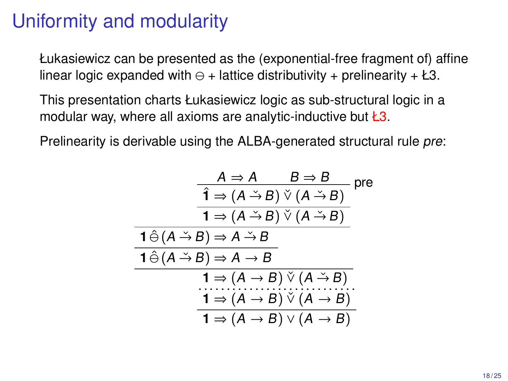## Uniformity and modularity

Łukasiewicz can be presented as the (exponential-free fragment of) affine linear logic expanded with  $\ominus$  + lattice distributivity + prelinearity + Ł3.

This presentation charts Łukasiewicz logic as sub-structural logic in a modular way, where all axioms are analytic-inductive but  $\angle 3$ .

Prelinearity is derivable using the ALBA-generated structural rule pre:

$$
\frac{A \Rightarrow A \qquad B \Rightarrow B}{1 \Rightarrow (A \xrightarrow{+} B) \vee (A \xrightarrow{+} B)}
$$
pre  
\n
$$
\frac{1 \Rightarrow (A \xrightarrow{+} B) \vee (A \xrightarrow{+} B)}{1 \Rightarrow (A \xrightarrow{+} B)}
$$
\n
$$
\frac{1 \hat{\ominus} (A \xrightarrow{+} B) \Rightarrow A \xrightarrow{+} B}{1 \Rightarrow (A \xrightarrow{+} B) \vee (A \xrightarrow{+} B)}
$$
\n
$$
\frac{1 \Rightarrow (A \xrightarrow{+} B) \vee (A \xrightarrow{+} B)}{1 \Rightarrow (A \xrightarrow{+} B) \vee (A \xrightarrow{+} B)}
$$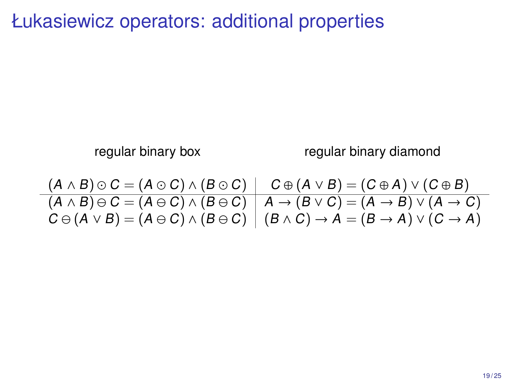Łukasiewicz operators: additional properties

regular binary box regular binary diamond

$$
\frac{(A \land B) \odot C = (A \odot C) \land (B \odot C)}{(A \land B) \ominus C = (A \ominus C) \land (B \ominus C)} \quad \frac{C \oplus (A \lor B) = (C \oplus A) \lor (C \oplus B)}{A \rightarrow (B \lor C) = (A \rightarrow B) \lor (A \rightarrow C)}
$$
\n
$$
C \ominus (A \lor B) = (A \ominus C) \land (B \ominus C) \quad (B \land C) \rightarrow A = (B \rightarrow A) \lor (C \rightarrow A)
$$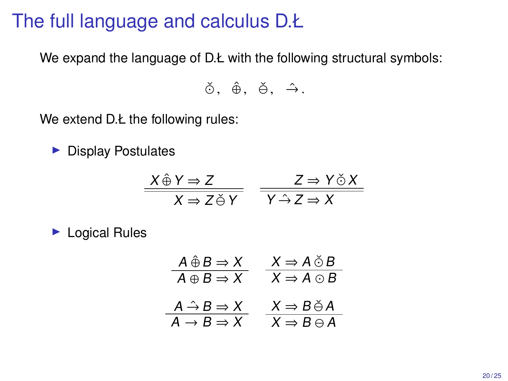#### The full language and calculus D.Ł

We expand the language of D.Ł with the following structural symbols:

 $\check{\odot}$ ,  $\hat{\oplus}$ ,  $\check{\ominus}$ ,  $\hat{\ominus}$ ,

We extend D.Ł the following rules:

 $\blacktriangleright$  Display Postulates

$$
\frac{X \hat{\oplus} Y \Rightarrow Z}{X \Rightarrow Z \check{\ominus} Y} \quad \frac{Z \Rightarrow Y \check{\odot} X}{Y \hat{\rightarrow} Z \Rightarrow X}
$$

 $\blacktriangleright$  Logical Rules

$$
\begin{array}{ccc}\nA \bigoplus B \Rightarrow X & X \Rightarrow A \bigcirc B \\
\hline\nA \oplus B \Rightarrow X & X \Rightarrow A \bigcirc B \\
\hline\nA \stackrel{\frown}{\rightarrow} B \Rightarrow X & X \Rightarrow B \bigcirc A \\
\hline\nA \rightarrow B \Rightarrow X & X \Rightarrow B \ominus A\n\end{array}
$$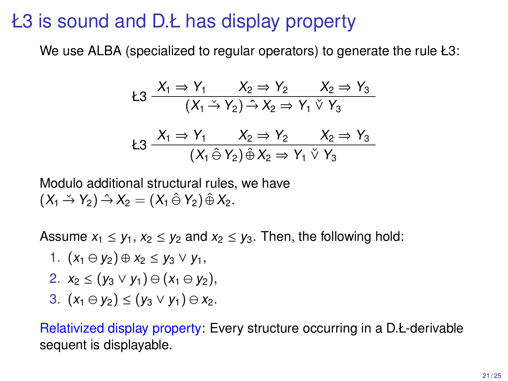#### Ł3 is sound and D.Ł has display property

We use ALBA (specialized to regular operators) to generate the rule Ł3:

$$
23 \frac{X_1 \Rightarrow Y_1}{(X_1 \stackrel{\smile}{\to} Y_2) \stackrel{\smile}{\to} X_2 \Rightarrow Y_1 \stackrel{\smile}{\vee} Y_3}{X_2 \Rightarrow Y_1 \stackrel{\smile}{\vee} Y_3}
$$

$$
k3 \frac{X_1 \Rightarrow Y_1 \qquad X_2 \Rightarrow Y_2 \qquad X_2 \Rightarrow Y_3}{(X_1 \hat{\ominus} Y_2) \hat{\oplus} X_2 \Rightarrow Y_1 \check{\vee} Y_3}
$$

Modulo additional structural rules, we have  $(X_1 \stackrel{.}{\rightarrow} Y_2) \stackrel{.}{\rightarrow} X_2 = (X_1 \stackrel{.}{\ominus} Y_2) \stackrel{.}{\oplus} X_2.$ 

Assume  $x_1 \leq y_1, x_2 \leq y_2$  and  $x_2 \leq y_3$ . Then, the following hold:

- 1.  $(x_1 \ominus y_2) \oplus x_2 \leq y_3 \vee y_1$
- 2.  $x_2 \leq (y_3 \vee y_1) \oplus (x_1 \oplus y_2)$ ,
- 3.  $(x_1 \oplus y_2)$  ≤  $(y_3 \vee y_1) \oplus x_2$ .

Relativized display property: Every structure occurring in a D.Ł-derivable sequent is displayable.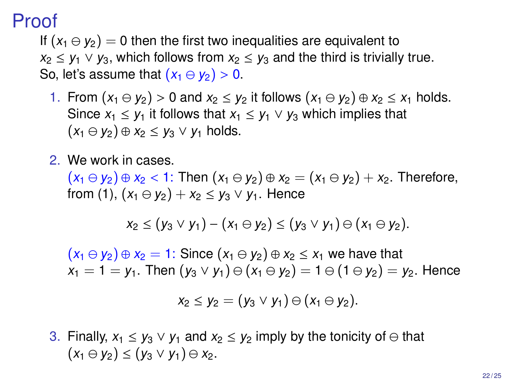#### Proof

If  $(x_1 \ominus y_2) = 0$  then the first two inequalities are equivalent to  $x_2 \leq y_1 \vee y_3$ , which follows from  $x_2 \leq y_3$  and the third is trivially true. So, let's assume that  $(x_1 \oplus y_2) > 0$ .

- 1. From  $(x_1 \ominus y_2) > 0$  and  $x_2 \le y_2$  it follows  $(x_1 \ominus y_2) \oplus x_2 \le x_1$  holds. Since  $x_1 \leq y_1$  it follows that  $x_1 \leq y_1 \vee y_3$  which implies that  $(x_1 \ominus y_2) \oplus x_2 \leq y_3 \vee y_1$  holds.
- 2. We work in cases.

 $(x_1 \ominus y_2) \oplus x_2 < 1$ : Then  $(x_1 \ominus y_2) \oplus x_2 = (x_1 \ominus y_2) + x_2$ . Therefore, from (1),  $(x_1 \oplus y_2) + x_2 < y_3 \vee y_1$ . Hence

$$
x_2 \le (y_3 \vee y_1) - (x_1 \ominus y_2) \le (y_3 \vee y_1) \ominus (x_1 \ominus y_2).
$$

 $(x_1 \ominus y_2) \oplus x_2 = 1$ : Since  $(x_1 \ominus y_2) \oplus x_2 \le x_1$  we have that  $x_1 = 1 = y_1$ . Then  $(y_3 \vee y_1) \ominus (x_1 \ominus y_2) = 1 \ominus (1 \ominus y_2) = y_2$ . Hence

$$
x_2 \le y_2 = (y_3 \vee y_1) \ominus (x_1 \ominus y_2).
$$

3. Finally,  $x_1 \leq y_3 \vee y_1$  and  $x_2 \leq y_2$  imply by the tonicity of  $\ominus$  that  $(x_1 \ominus y_2) \leq (y_3 \vee y_1) \ominus x_2.$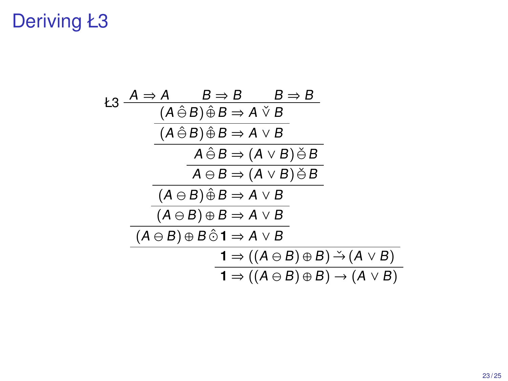# Deriving Ł3

$$
A \Rightarrow A \qquad B \Rightarrow B \qquad B \Rightarrow B
$$
\n
$$
\begin{array}{c}\n (A \hat{\ominus} B) \hat{\oplus} B \Rightarrow A \lor B \\
 \hline\n (A \hat{\ominus} B) \hat{\oplus} B \Rightarrow A \lor B \\
 \hline\n A \hat{\ominus} B \Rightarrow (A \lor B) \check{\ominus} B \\
 \hline\n A \ominus B \Rightarrow (A \lor B) \check{\ominus} B \\
 \hline\n (A \ominus B) \hat{\oplus} B \Rightarrow A \lor B \\
 \hline\n (A \ominus B) \oplus B \Rightarrow A \lor B \\
 \hline\n (A \ominus B) \oplus B \hat{\ominus} 1 \Rightarrow A \lor B \\
 \hline\n 1 \Rightarrow ((A \ominus B) \oplus B) \stackrel{\sim}{\rightarrow} (A \lor B) \\
 \hline\n 1 \Rightarrow ((A \ominus B) \oplus B) \rightarrow (A \lor B)\n \end{array}
$$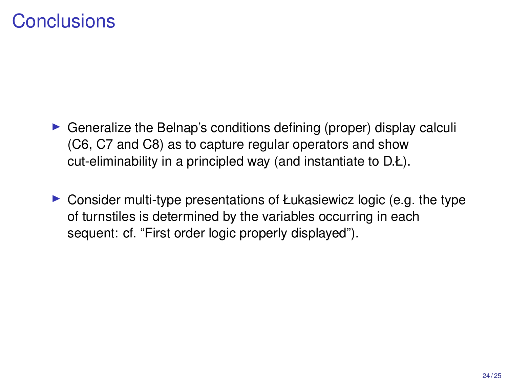#### **Conclusions**

- $\triangleright$  Generalize the Belnap's conditions defining (proper) display calculi (C6, C7 and C8) as to capture regular operators and show cut-eliminability in a principled way (and instantiate to D.Ł).
- $\triangleright$  Consider multi-type presentations of Łukasiewicz logic (e.g. the type of turnstiles is determined by the variables occurring in each sequent: cf. "First order logic properly displayed").